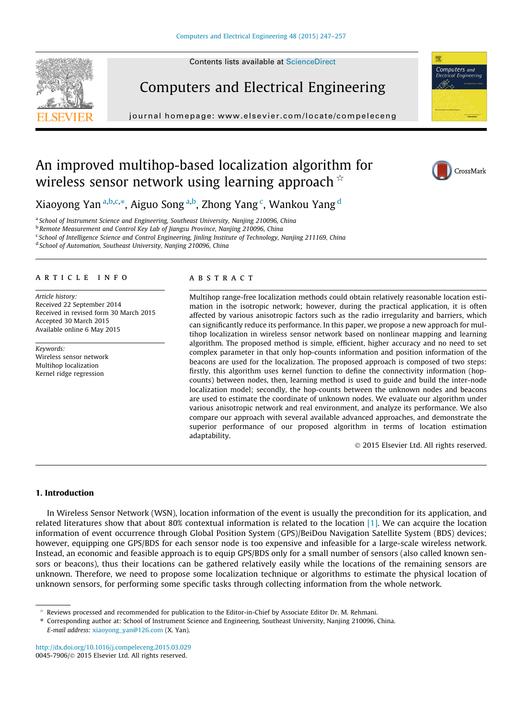Contents lists available at [ScienceDirect](http://www.sciencedirect.com/science/journal/00457906)





journal homepage: [www.elsevier.com/locate/compeleceng](http://www.elsevier.com/locate/compeleceng)



## An improved multihop-based localization algorithm for wireless sensor network using learning approach  $\dot{\phi}$



Xiaoyong Yan <sup>a,b,c,</sup>\*, Aiguo Song <sup>a,b</sup>, Zhong Yang <sup>c</sup>, Wankou Yang <sup>d</sup>

<sup>a</sup> School of Instrument Science and Engineering, Southeast University, Nanjing 210096, China

<sup>b</sup> Remote Measurement and Control Key Lab of Jiangsu Province, Nanjing 210096, China

<sup>c</sup> School of Intelligence Science and Control Engineering, Jinling Institute of Technology, Nanjing 211169, China

<sup>d</sup> School of Automation, Southeast University, Nanjing 210096, China

#### article info

Article history: Received 22 September 2014 Received in revised form 30 March 2015 Accepted 30 March 2015 Available online 6 May 2015

Keywords: Wireless sensor network Multihop localization Kernel ridge regression

#### ABSTRACT

Multihop range-free localization methods could obtain relatively reasonable location estimation in the isotropic network; however, during the practical application, it is often affected by various anisotropic factors such as the radio irregularity and barriers, which can significantly reduce its performance. In this paper, we propose a new approach for multihop localization in wireless sensor network based on nonlinear mapping and learning algorithm. The proposed method is simple, efficient, higher accuracy and no need to set complex parameter in that only hop-counts information and position information of the beacons are used for the localization. The proposed approach is composed of two steps: firstly, this algorithm uses kernel function to define the connectivity information (hopcounts) between nodes, then, learning method is used to guide and build the inter-node localization model; secondly, the hop-counts between the unknown nodes and beacons are used to estimate the coordinate of unknown nodes. We evaluate our algorithm under various anisotropic network and real environment, and analyze its performance. We also compare our approach with several available advanced approaches, and demonstrate the superior performance of our proposed algorithm in terms of location estimation adaptability.

- 2015 Elsevier Ltd. All rights reserved.

### 1. Introduction

In Wireless Sensor Network (WSN), location information of the event is usually the precondition for its application, and related literatures show that about 80% contextual information is related to the location [\[1\]](#page--1-0). We can acquire the location information of event occurrence through Global Position System (GPS)/BeiDou Navigation Satellite System (BDS) devices; however, equipping one GPS/BDS for each sensor node is too expensive and infeasible for a large-scale wireless network. Instead, an economic and feasible approach is to equip GPS/BDS only for a small number of sensors (also called known sensors or beacons), thus their locations can be gathered relatively easily while the locations of the remaining sensors are unknown. Therefore, we need to propose some localization technique or algorithms to estimate the physical location of unknown sensors, for performing some specific tasks through collecting information from the whole network.

<http://dx.doi.org/10.1016/j.compeleceng.2015.03.029> 0045-7906/© 2015 Elsevier Ltd. All rights reserved.

 $*$  Reviews processed and recommended for publication to the Editor-in-Chief by Associate Editor Dr. M. Rehmani.

<sup>⇑</sup> Corresponding author at: School of Instrument Science and Engineering, Southeast University, Nanjing 210096, China. E-mail address: [xiaoyong\\_yan@126.com](mailto:xiaoyong_yan@126.com) (X. Yan).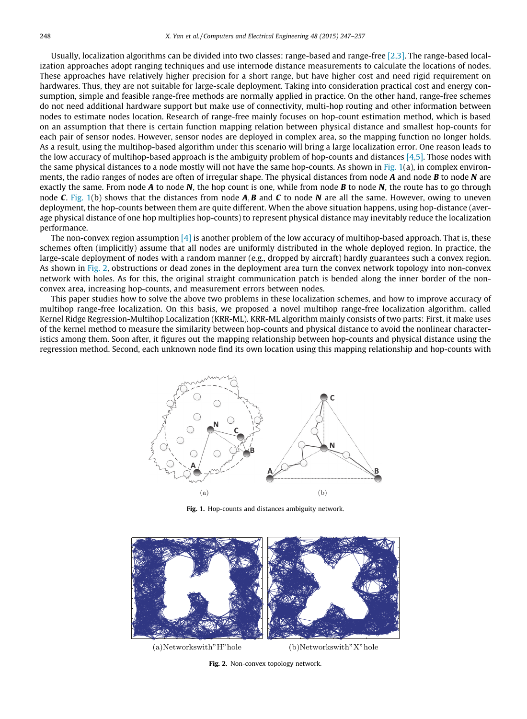Usually, localization algorithms can be divided into two classes: range-based and range-free [\[2,3\]](#page--1-0). The range-based localization approaches adopt ranging techniques and use internode distance measurements to calculate the locations of nodes. These approaches have relatively higher precision for a short range, but have higher cost and need rigid requirement on hardwares. Thus, they are not suitable for large-scale deployment. Taking into consideration practical cost and energy consumption, simple and feasible range-free methods are normally applied in practice. On the other hand, range-free schemes do not need additional hardware support but make use of connectivity, multi-hop routing and other information between nodes to estimate nodes location. Research of range-free mainly focuses on hop-count estimation method, which is based on an assumption that there is certain function mapping relation between physical distance and smallest hop-counts for each pair of sensor nodes. However, sensor nodes are deployed in complex area, so the mapping function no longer holds. As a result, using the multihop-based algorithm under this scenario will bring a large localization error. One reason leads to the low accuracy of multihop-based approach is the ambiguity problem of hop-counts and distances  $[4,5]$ . Those nodes with the same physical distances to a node mostly will not have the same hop-counts. As shown in Fig.  $1(a)$ , in complex environments, the radio ranges of nodes are often of irregular shape. The physical distances from node  $A$  and node  $B$  to node  $N$  are exactly the same. From node  $A$  to node  $N$ , the hop count is one, while from node  $B$  to node  $N$ , the route has to go through node C. Fig. 1(b) shows that the distances from node  $A, B$  and C to node N are all the same. However, owing to uneven deployment, the hop-counts between them are quite different. When the above situation happens, using hop-distance (average physical distance of one hop multiplies hop-counts) to represent physical distance may inevitably reduce the localization performance.

The non-convex region assumption  $[4]$  is another problem of the low accuracy of multihop-based approach. That is, these schemes often (implicitly) assume that all nodes are uniformly distributed in the whole deployed region. In practice, the large-scale deployment of nodes with a random manner (e.g., dropped by aircraft) hardly guarantees such a convex region. As shown in Fig. 2, obstructions or dead zones in the deployment area turn the convex network topology into non-convex network with holes. As for this, the original straight communication patch is bended along the inner border of the nonconvex area, increasing hop-counts, and measurement errors between nodes.

This paper studies how to solve the above two problems in these localization schemes, and how to improve accuracy of multihop range-free localization. On this basis, we proposed a novel multihop range-free localization algorithm, called Kernel Ridge Regression-Multihop Localization (KRR-ML). KRR-ML algorithm mainly consists of two parts: First, it make uses of the kernel method to measure the similarity between hop-counts and physical distance to avoid the nonlinear characteristics among them. Soon after, it figures out the mapping relationship between hop-counts and physical distance using the regression method. Second, each unknown node find its own location using this mapping relationship and hop-counts with



Fig. 1. Hop-counts and distances ambiguity network.



(a)Networkswith"H"hole (b)Networkswith"X"hole

Fig. 2. Non-convex topology network.